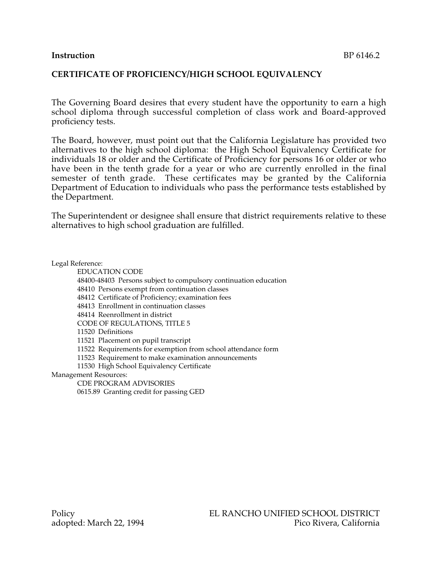## **Instruction** BP 6146.2

## **CERTIFICATE OF PROFICIENCY/HIGH SCHOOL EQUIVALENCY**

The Governing Board desires that every student have the opportunity to earn a high school diploma through successful completion of class work and Board-approved proficiency tests.

The Board, however, must point out that the California Legislature has provided two alternatives to the high school diploma: the High School Equivalency Certificate for individuals 18 or older and the Certificate of Proficiency for persons 16 or older or who have been in the tenth grade for a year or who are currently enrolled in the final semester of tenth grade. These certificates may be granted by the California Department of Education to individuals who pass the performance tests established by the Department.

The Superintendent or designee shall ensure that district requirements relative to these alternatives to high school graduation are fulfilled.

Legal Reference:

EDUCATION CODE

48400-48403 Persons subject to compulsory continuation education

48410 Persons exempt from continuation classes

48412 Certificate of Proficiency; examination fees

48413 Enrollment in continuation classes

48414 Reenrollment in district

CODE OF REGULATIONS, TITLE 5

11520 Definitions

11521 Placement on pupil transcript

11522 Requirements for exemption from school attendance form

11523 Requirement to make examination announcements

11530 High School Equivalency Certificate

Management Resources:

CDE PROGRAM ADVISORIES 0615.89 Granting credit for passing GED